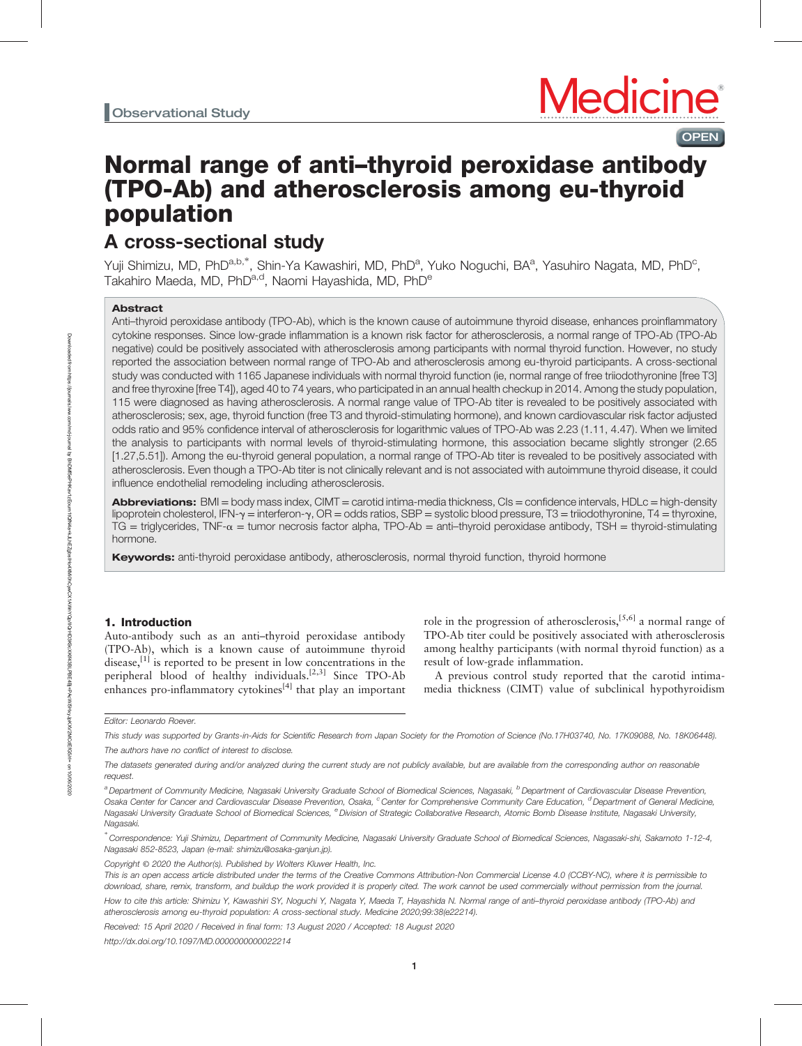# Normal range of anti–thyroid peroxidase antibody (TPO-Ab) and atherosclerosis among eu-thyroid population

# A cross-sectional study

Yuji Shimizu, MD, PhD<sup>a,b,\*</sup>, Shin-Ya Kawashiri, MD, PhD<sup>a</sup>, Yuko Noguchi, BA<sup>a</sup>, Yasuhiro Nagata, MD, PhD<sup>c</sup>, Takahiro Maeda, MD, PhD<sup>a,d</sup>, Naomi Hayashida, MD, PhD<sup>e</sup>

# Abstract

Anti–thyroid peroxidase antibody (TPO-Ab), which is the known cause of autoimmune thyroid disease, enhances proinflammatory cytokine responses. Since low-grade inflammation is a known risk factor for atherosclerosis, a normal range of TPO-Ab (TPO-Ab negative) could be positively associated with atherosclerosis among participants with normal thyroid function. However, no study reported the association between normal range of TPO-Ab and atherosclerosis among eu-thyroid participants. A cross-sectional study was conducted with 1165 Japanese individuals with normal thyroid function (ie, normal range of free triiodothyronine [free T3] and free thyroxine [free T4]), aged 40 to 74 years, who participated in an annual health checkup in 2014. Among the study population, 115 were diagnosed as having atherosclerosis. A normal range value of TPO-Ab titer is revealed to be positively associated with atherosclerosis; sex, age, thyroid function (free T3 and thyroid-stimulating hormone), and known cardiovascular risk factor adjusted odds ratio and 95% confidence interval of atherosclerosis for logarithmic values of TPO-Ab was 2.23 (1.11, 4.47). When we limited the analysis to participants with normal levels of thyroid-stimulating hormone, this association became slightly stronger (2.65 [1.27,5.51]). Among the eu-thyroid general population, a normal range of TPO-Ab titer is revealed to be positively associated with atherosclerosis. Even though a TPO-Ab titer is not clinically relevant and is not associated with autoimmune thyroid disease, it could influence endothelial remodeling including atherosclerosis.

Abbreviations:  $BMI = body$  mass index,  $CIMT =$  carotid intima-media thickness,  $CIs =$  confidence intervals,  $HDLc =$  high-density lipoprotein cholesterol, IFN- $\gamma$  = interferon- $\gamma$ , OR = odds ratios, SBP = systolic blood pressure, T3 = triiodothyronine, T4 = thyroxine, TG = triglycerides, TNF- $\alpha$  = tumor necrosis factor alpha, TPO-Ab = anti-thyroid peroxidase antibody, TSH = thyroid-stimulating hormone.

Keywords: anti-thyroid peroxidase antibody, atherosclerosis, normal thyroid function, thyroid hormone

# 1. Introduction

Auto-antibody such as an anti–thyroid peroxidase antibody (TPO-Ab), which is a known cause of autoimmune thyroid disease,<sup>[1]</sup> is reported to be present in low concentrations in the peripheral blood of healthy individuals.<sup>[2,3]</sup> Since TPO-Ab enhances pro-inflammatory cytokines<sup>[4]</sup> that play an important

role in the progression of atherosclerosis,<sup>[5,6]</sup> a normal range of TPO-Ab titer could be positively associated with atherosclerosis among healthy participants (with normal thyroid function) as a result of low-grade inflammation.

A previous control study reported that the carotid intimamedia thickness (CIMT) value of subclinical hypothyroidism



**OPEN** 

Editor: Leonardo Roever.

This study was supported by Grants-in-Aids for Scientific Research from Japan Society for the Promotion of Science (No.17H03740, No. 17K09088, No. 18K06448).

The authors have no conflict of interest to disclose.

The datasets generated during and/or analyzed during the current study are not publicly available, but are available from the corresponding author on reasonable request.

a Department of Community Medicine, Nagasaki University Graduate School of Biomedical Sciences, Nagasaki, <sup>b</sup> Department of Cardiovascular Disease Prevention, Osaka Center for Cancer and Cardiovascular Disease Prevention, Osaka, <sup>c</sup>Center for Comprehensive Community Care Education, <sup>d</sup> Department of General Medicine, Nagasaki University Graduate School of Biomedical Sciences, <sup>e</sup> Division of Strategic Collaborative Research, Atomic Bomb Disease Institute, Nagasaki University, Nagasaki.

<sup>∗</sup> Correspondence: Yuji Shimizu, Department of Community Medicine, Nagasaki University Graduate School of Biomedical Sciences, Nagasaki-shi, Sakamoto 1-12-4, Nagasaki 852-8523, Japan (e-mail: [shimizu@osaka-ganjun.jp](mailto:shimizu@osaka-ganjun.jp)).

Copyright © 2020 the Author(s). Published by Wolters Kluwer Health, Inc.

This is an open access article distributed under the terms of the [Creative Commons Attribution-Non Commercial License 4.0](http://creativecommons.org/licenses/by-nc/4.0) (CCBY-NC), where it is permissible to download, share, remix, transform, and buildup the work provided it is properly cited. The work cannot be used commercially without permission from the journal.

How to cite this article: Shimizu Y, Kawashiri SY, Noguchi Y, Nagata Y, Maeda T, Hayashida N. Normal range of anti–thyroid peroxidase antibody (TPO-Ab) and atherosclerosis among eu-thyroid population: A cross-sectional study. Medicine 2020;99:38(e22214).

Received: 15 April 2020 / Received in final form: 13 August 2020 / Accepted: 18 August 2020

<http://dx.doi.org/10.1097/MD.0000000000022214>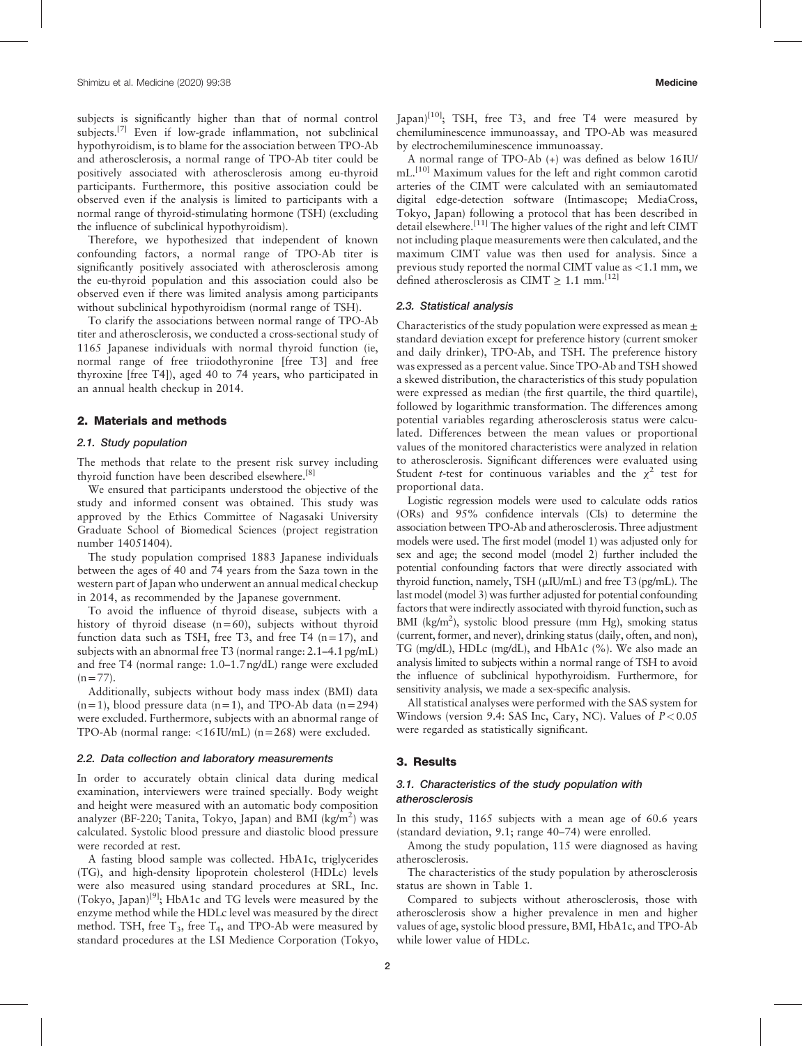subjects is significantly higher than that of normal control subjects.<sup>[7]</sup> Even if low-grade inflammation, not subclinical hypothyroidism, is to blame for the association between TPO-Ab and atherosclerosis, a normal range of TPO-Ab titer could be positively associated with atherosclerosis among eu-thyroid participants. Furthermore, this positive association could be observed even if the analysis is limited to participants with a normal range of thyroid-stimulating hormone (TSH) (excluding the influence of subclinical hypothyroidism).

Therefore, we hypothesized that independent of known confounding factors, a normal range of TPO-Ab titer is significantly positively associated with atherosclerosis among the eu-thyroid population and this association could also be observed even if there was limited analysis among participants without subclinical hypothyroidism (normal range of TSH).

To clarify the associations between normal range of TPO-Ab titer and atherosclerosis, we conducted a cross-sectional study of 1165 Japanese individuals with normal thyroid function (ie, normal range of free triiodothyronine [free T3] and free thyroxine [free T4]), aged 40 to 74 years, who participated in an annual health checkup in 2014.

#### 2. Materials and methods

#### 2.1. Study population

The methods that relate to the present risk survey including thyroid function have been described elsewhere.[8]

We ensured that participants understood the objective of the study and informed consent was obtained. This study was approved by the Ethics Committee of Nagasaki University Graduate School of Biomedical Sciences (project registration number 14051404).

The study population comprised 1883 Japanese individuals between the ages of 40 and 74 years from the Saza town in the western part of Japan who underwent an annual medical checkup in 2014, as recommended by the Japanese government.

To avoid the influence of thyroid disease, subjects with a history of thyroid disease (n=60), subjects without thyroid function data such as TSH, free T3, and free T4  $(n=17)$ , and subjects with an abnormal free T3 (normal range: 2.1–4.1 pg/mL) and free T4 (normal range: 1.0–1.7 ng/dL) range were excluded  $(n=77)$ .

Additionally, subjects without body mass index (BMI) data  $(n=1)$ , blood pressure data  $(n=1)$ , and TPO-Ab data  $(n=294)$ were excluded. Furthermore, subjects with an abnormal range of TPO-Ab (normal range:  $\langle 16 \text{IU/mL} \rangle$  (n=268) were excluded.

### 2.2. Data collection and laboratory measurements

In order to accurately obtain clinical data during medical examination, interviewers were trained specially. Body weight and height were measured with an automatic body composition analyzer (BF-220; Tanita, Tokyo, Japan) and BMI (kg/m<sup>2</sup>) was calculated. Systolic blood pressure and diastolic blood pressure were recorded at rest.

A fasting blood sample was collected. HbA1c, triglycerides (TG), and high-density lipoprotein cholesterol (HDLc) levels were also measured using standard procedures at SRL, Inc. (Tokyo, Japan)[9]; HbA1c and TG levels were measured by the enzyme method while the HDLc level was measured by the direct method. TSH, free  $T_3$ , free  $T_4$ , and TPO-Ab were measured by standard procedures at the LSI Medience Corporation (Tokyo,  $\text{Iapan}$ <sup>[10]</sup>; TSH, free T3, and free T4 were measured by chemiluminescence immunoassay, and TPO-Ab was measured by electrochemiluminescence immunoassay.

A normal range of TPO-Ab (+) was defined as below 16 IU/ mL.<sup>[10]</sup> Maximum values for the left and right common carotid arteries of the CIMT were calculated with an semiautomated digital edge-detection software (Intimascope; MediaCross, Tokyo, Japan) following a protocol that has been described in detail elsewhere.<sup>[11]</sup> The higher values of the right and left CIMT not including plaque measurements were then calculated, and the maximum CIMT value was then used for analysis. Since a previous study reported the normal CIMT value as <1.1 mm, we defined atherosclerosis as CIMT  $\geq 1.1$  mm.<sup>[12]</sup>

# 2.3. Statistical analysis

Characteristics of the study population were expressed as mean  $\pm$ standard deviation except for preference history (current smoker and daily drinker), TPO-Ab, and TSH. The preference history was expressed as a percent value. Since TPO-Ab and TSH showed a skewed distribution, the characteristics of this study population were expressed as median (the first quartile, the third quartile), followed by logarithmic transformation. The differences among potential variables regarding atherosclerosis status were calculated. Differences between the mean values or proportional values of the monitored characteristics were analyzed in relation to atherosclerosis. Significant differences were evaluated using Student *t*-test for continuous variables and the  $\chi^2$  test for proportional data.

Logistic regression models were used to calculate odds ratios (ORs) and 95% confidence intervals (CIs) to determine the association between TPO-Ab and atherosclerosis. Three adjustment models were used. The first model (model 1) was adjusted only for sex and age; the second model (model 2) further included the potential confounding factors that were directly associated with thyroid function, namely, TSH  $(\mu I U/mL)$  and free T3 (pg/mL). The last model (model 3) was further adjusted for potential confounding factors that were indirectly associated with thyroid function, such as BMI (kg/m<sup>2</sup>), systolic blood pressure (mm Hg), smoking status (current, former, and never), drinking status (daily, often, and non), TG (mg/dL), HDLc (mg/dL), and HbA1c (%). We also made an analysis limited to subjects within a normal range of TSH to avoid the influence of subclinical hypothyroidism. Furthermore, for sensitivity analysis, we made a sex-specific analysis.

All statistical analyses were performed with the SAS system for Windows (version 9.4: SAS Inc, Cary, NC). Values of  $P < 0.05$ were regarded as statistically significant.

#### 3. Results

# 3.1. Characteristics of the study population with atherosclerosis

In this study, 1165 subjects with a mean age of 60.6 years (standard deviation, 9.1; range 40–74) were enrolled.

Among the study population, 115 were diagnosed as having atherosclerosis.

The characteristics of the study population by atherosclerosis status are shown in Table 1.

Compared to subjects without atherosclerosis, those with atherosclerosis show a higher prevalence in men and higher values of age, systolic blood pressure, BMI, HbA1c, and TPO-Ab while lower value of HDLc.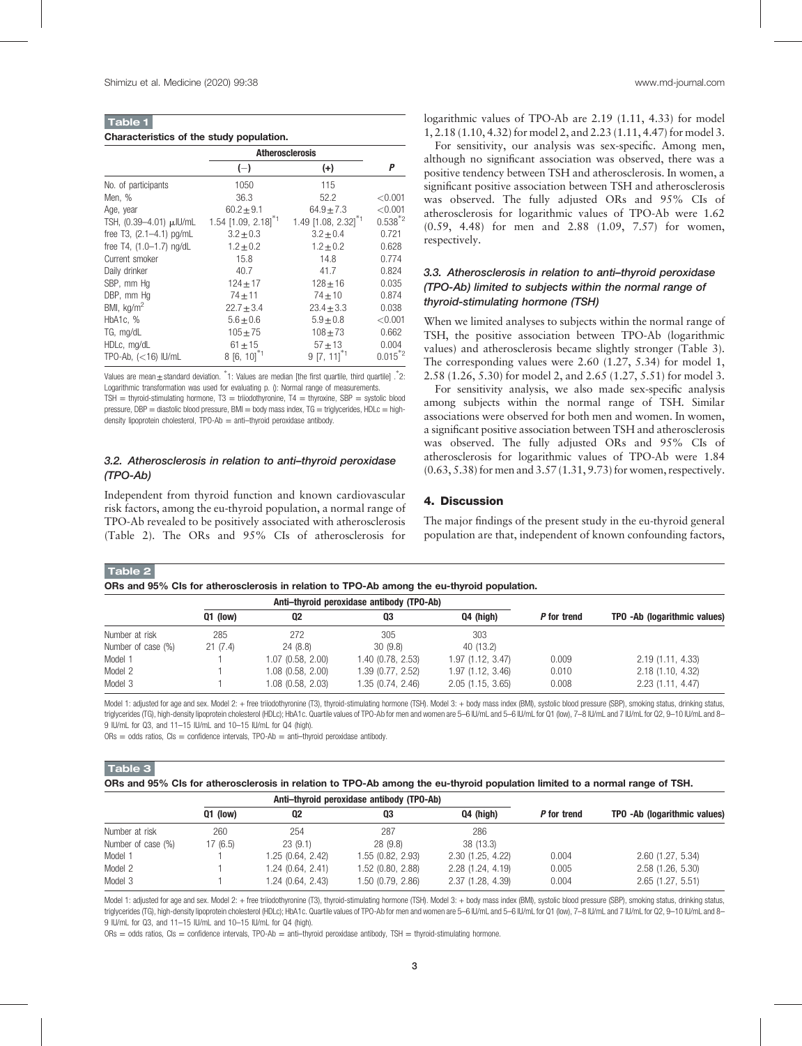| <b>Table 1</b>                           |  |  |
|------------------------------------------|--|--|
| Characteristics of the study population. |  |  |

|                            | <b>Atherosclerosis</b>            |                                 |              |
|----------------------------|-----------------------------------|---------------------------------|--------------|
|                            | $(-)$                             | $(+)$                           | P            |
| No. of participants        | 1050                              | 115                             |              |
| Men, %                     | 36.3                              | 52.2                            | < 0.001      |
| Age, year                  | $60.2 \pm 9.1$                    | $64.9 \pm 7.3$                  | < 0.001      |
| TSH, (0.39-4.01) µJU/mL    | 1.54 $[1.09, 2.18]$ <sup>*1</sup> | 1.49 [1.08, 2.32] <sup>*1</sup> | $0.538^{*2}$ |
| free T3, $(2.1-4.1)$ pg/mL | $3.2 \pm 0.3$                     | $3.2 \pm 0.4$                   | 0.721        |
| free T4, (1.0-1.7) ng/dL   | $1.2 \pm 0.2$                     | $1.2 \pm 0.2$                   | 0.628        |
| Current smoker             | 15.8                              | 14.8                            | 0.774        |
| Daily drinker              | 40.7                              | 41.7                            | 0.824        |
| SBP, mm Hq                 | $124 \pm 17$                      | $128 + 16$                      | 0.035        |
| DBP, mm Hq                 | $74 + 11$                         | $74 + 10$                       | 0.874        |
| BMI, $\text{kg/m}^2$       | $22.7 \pm 3.4$                    | $23.4 \pm 3.3$                  | 0.038        |
| HbA1c, %                   | $5.6 + 0.6$                       | $5.9 + 0.8$                     | < 0.001      |
| TG, mg/dL                  | $105 \pm 75$                      | $108 + 73$                      | 0.662        |
| HDLc, mg/dL                | $61 + 15$                         | $57 + 13$                       | 0.004        |
| TPO-Ab, $(<16)$ IU/mL      | $8[6, 10]^{*1}$                   | $9 [7, 11]$ <sup>*1</sup>       | $0.015^{*2}$ |

values are mean $\pm$ standard deviation. \*1: Values are median [the first quartile, third quartile] .\*2: Logarithmic transformation was used for evaluating p. (): Normal range of measurements.

TSH = thyroid-stimulating hormone,  $T3 = \text{triodothyronine}$ ,  $T4 = \text{thyroxine}$ , SBP = systolic blood pressure, DBP = diastolic blood pressure, BMI = body mass index,  $TG = triglycerides$ ,  $HDLC = high$ density lipoprotein cholesterol, TPO-Ab = anti-thyroid peroxidase antibody.

# 3.2. Atherosclerosis in relation to anti–thyroid peroxidase (TPO-Ab)

Independent from thyroid function and known cardiovascular risk factors, among the eu-thyroid population, a normal range of TPO-Ab revealed to be positively associated with atherosclerosis (Table 2). The ORs and 95% CIs of atherosclerosis for

logarithmic values of TPO-Ab are 2.19 (1.11, 4.33) for model 1, 2.18 (1.10, 4.32) for model 2, and 2.23 (1.11, 4.47) for model 3.

For sensitivity, our analysis was sex-specific. Among men, although no significant association was observed, there was a positive tendency between TSH and atherosclerosis. In women, a significant positive association between TSH and atherosclerosis was observed. The fully adjusted ORs and 95% CIs of atherosclerosis for logarithmic values of TPO-Ab were 1.62 (0.59, 4.48) for men and 2.88 (1.09, 7.57) for women, respectively.

# 3.3. Atherosclerosis in relation to anti–thyroid peroxidase (TPO-Ab) limited to subjects within the normal range of thyroid-stimulating hormone (TSH)

When we limited analyses to subjects within the normal range of TSH, the positive association between TPO-Ab (logarithmic values) and atherosclerosis became slightly stronger (Table 3). The corresponding values were 2.60 (1.27, 5.34) for model 1, 2.58 (1.26, 5.30) for model 2, and 2.65 (1.27, 5.51) for model 3.

For sensitivity analysis, we also made sex-specific analysis among subjects within the normal range of TSH. Similar associations were observed for both men and women. In women, a significant positive association between TSH and atherosclerosis was observed. The fully adjusted ORs and 95% CIs of atherosclerosis for logarithmic values of TPO-Ab were 1.84 (0.63, 5.38) for men and 3.57 (1.31, 9.73) for women, respectively.

# 4. Discussion

The major findings of the present study in the eu-thyroid general population are that, independent of known confounding factors,

Table 2

ORs and 95% CIs for atherosclerosis in relation to TPO-Ab among the eu-thyroid population.

|                    | Anti-thyroid peroxidase antibody (TPO-Ab) |                   |                   |                  |             |                              |
|--------------------|-------------------------------------------|-------------------|-------------------|------------------|-------------|------------------------------|
|                    | $Q1$ (low)                                | 02                | 03                | Q4 (high)        | P for trend | TPO -Ab (logarithmic values) |
| Number at risk     | 285                                       | 272               | 305               | 303              |             |                              |
| Number of case (%) | 21(7.4)                                   | 24(8.8)           | 30(9.8)           | 40 (13.2)        |             |                              |
| Model 1            |                                           | 1.07 (0.58, 2.00) | 1.40(0.78, 2.53)  | 1.97(1.12, 3.47) | 0.009       | 2.19(1.11, 4.33)             |
| Model 2            |                                           | 1.08 (0.58, 2.00) | 1.39(0.77, 2.52)  | 1.97(1.12, 3.46) | 0.010       | 2.18(1.10, 4.32)             |
| Model 3            |                                           | 1.08 (0.58, 2.03) | 1.35 (0.74, 2.46) | 2.05(1.15, 3.65) | 0.008       | 2.23(1.11, 4.47)             |

Model 1: adjusted for age and sex. Model 2: + free triiodothyronine (T3), thyroid-stimulating hormone (TSH). Model 3: + body mass index (BMI), systolic blood pressure (SBP), smoking status, drinking status, triglycerides (TG), high-density lipoprotein cholesterol (HDLc); HbA1c. Quartile values of TPO-Ab for men and women are 5–6 IU/mL and 5–6 IU/mL for Q1 (low), 7–8 IU/mL and 7 IU/mL for Q2, 9–10 IU/mL and 8-9 IU/mL for Q3, and 11–15 IU/mL and 10–15 IU/mL for Q4 (high).

 $ORs = odds$  ratios,  $Cls = confidence$  intervals,  $TPO-Ab = anti-thyroid$  peroxidase antibody

Table 3

ORs and 95% CIs for atherosclerosis in relation to TPO-Ab among the eu-thyroid population limited to a normal range of TSH.

|                    | Anti-thyroid peroxidase antibody (TPO-Ab) |                   |                   |                  |             |                              |
|--------------------|-------------------------------------------|-------------------|-------------------|------------------|-------------|------------------------------|
|                    | $Q1$ (low)                                | 02                | Q3                | Q4 (high)        | P for trend | TPO -Ab (logarithmic values) |
| Number at risk     | 260                                       | 254               | 287               | 286              |             |                              |
| Number of case (%) | 17(6.5)                                   | 23(9.1)           | 28(9.8)           | 38 (13.3)        |             |                              |
| Model 1            |                                           | 1.25 (0.64, 2.42) | 1.55 (0.82, 2.93) | 2.30(1.25, 4.22) | 0.004       | 2.60(1.27, 5.34)             |
| Model 2            |                                           | 1.24 (0.64, 2.41) | 1.52 (0.80, 2.88) | 2.28(1.24, 4.19) | 0.005       | 2.58(1.26, 5.30)             |
| Model 3            |                                           | 1.24 (0.64, 2.43) | 1.50 (0.79, 2.86) | 2.37(1.28, 4.39) | 0.004       | 2.65(1.27, 5.51)             |

Model 1: adjusted for age and sex. Model 2: + free triiodothyronine (T3), thyroid-stimulating hormone (TSH). Model 3: + body mass index (BMI), systolic blood pressure (SBP), smoking status, drinking status, triglycerides (TG), high-density lipoprotein cholesterol (HDLc); HbA1c. Quartile values of TPO-Ab for men and women are 5–6 IU/mL and 5–6 IU/mL for Q1 (low), 7–8 IU/mL and 7 IU/mL for Q2, 9–10 IU/mL and 8– 9 IU/mL for Q3, and 11–15 IU/mL and 10–15 IU/mL for Q4 (high).

 $ORS = odds$  ratios,  $Cls = confidence$  intervals,  $TPO-Ab = anti$ —thyroid peroxidase antibody,  $TSH =$  thyroid-stimulating hormone.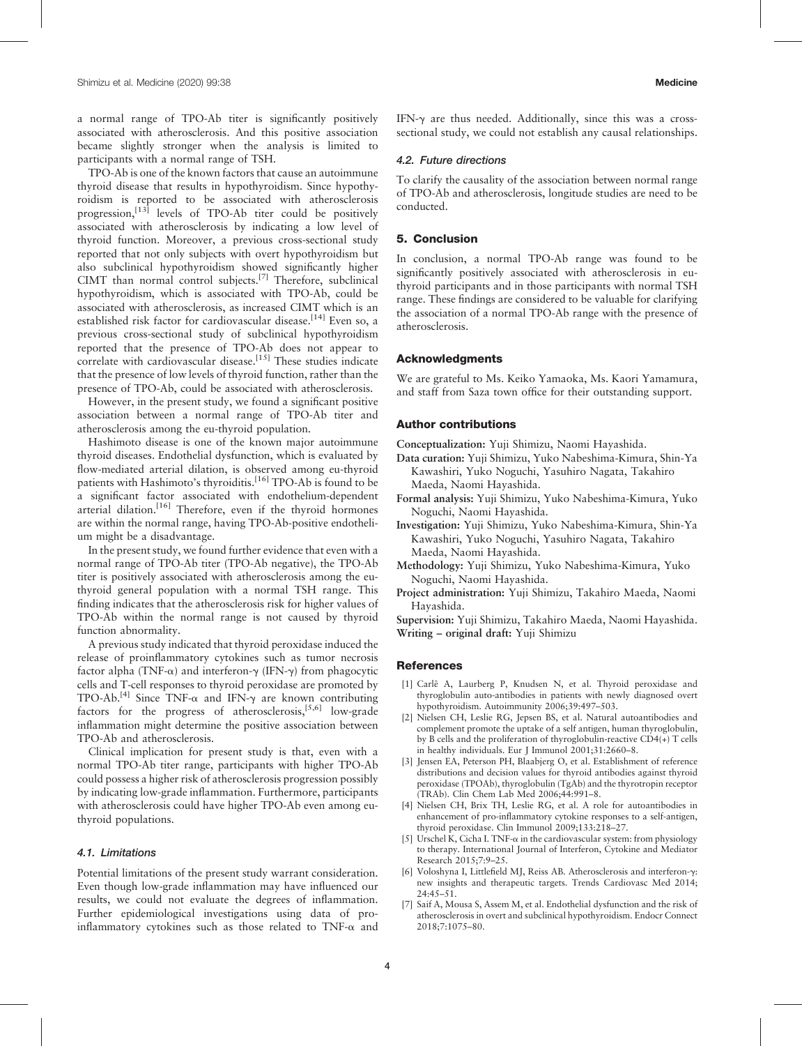a normal range of TPO-Ab titer is significantly positively associated with atherosclerosis. And this positive association became slightly stronger when the analysis is limited to participants with a normal range of TSH.

TPO-Ab is one of the known factors that cause an autoimmune thyroid disease that results in hypothyroidism. Since hypothyroidism is reported to be associated with atherosclerosis progression, $[13]$  levels of TPO-Ab titer could be positively associated with atherosclerosis by indicating a low level of thyroid function. Moreover, a previous cross-sectional study reported that not only subjects with overt hypothyroidism but also subclinical hypothyroidism showed significantly higher CIMT than normal control subjects.<sup>[7]</sup> Therefore, subclinical hypothyroidism, which is associated with TPO-Ab, could be associated with atherosclerosis, as increased CIMT which is an established risk factor for cardiovascular disease.<sup>[14]</sup> Even so, a previous cross-sectional study of subclinical hypothyroidism reported that the presence of TPO-Ab does not appear to correlate with cardiovascular disease.<sup>[15]</sup> These studies indicate that the presence of low levels of thyroid function, rather than the presence of TPO-Ab, could be associated with atherosclerosis.

However, in the present study, we found a significant positive association between a normal range of TPO-Ab titer and atherosclerosis among the eu-thyroid population.

Hashimoto disease is one of the known major autoimmune thyroid diseases. Endothelial dysfunction, which is evaluated by flow-mediated arterial dilation, is observed among eu-thyroid patients with Hashimoto's thyroiditis.<sup>[16]</sup> TPO-Ab is found to be a significant factor associated with endothelium-dependent arterial dilation.<sup>[16]</sup> Therefore, even if the thyroid hormones are within the normal range, having TPO-Ab-positive endothelium might be a disadvantage.

In the present study, we found further evidence that even with a normal range of TPO-Ab titer (TPO-Ab negative), the TPO-Ab titer is positively associated with atherosclerosis among the euthyroid general population with a normal TSH range. This finding indicates that the atherosclerosis risk for higher values of TPO-Ab within the normal range is not caused by thyroid function abnormality.

A previous study indicated that thyroid peroxidase induced the release of proinflammatory cytokines such as tumor necrosis factor alpha (TNF- $\alpha$ ) and interferon- $\gamma$  (IFN- $\gamma$ ) from phagocytic cells and T-cell responses to thyroid peroxidase are promoted by TPO-Ab.<sup>[4]</sup> Since TNF- $\alpha$  and IFN- $\gamma$  are known contributing factors for the progress of atherosclerosis,  $[5,6]$  low-grade inflammation might determine the positive association between TPO-Ab and atherosclerosis.

Clinical implication for present study is that, even with a normal TPO-Ab titer range, participants with higher TPO-Ab could possess a higher risk of atherosclerosis progression possibly by indicating low-grade inflammation. Furthermore, participants with atherosclerosis could have higher TPO-Ab even among euthyroid populations.

#### 4.1. Limitations

Potential limitations of the present study warrant consideration. Even though low-grade inflammation may have influenced our results, we could not evaluate the degrees of inflammation. Further epidemiological investigations using data of proinflammatory cytokines such as those related to  $TNF-\alpha$  and IFN- $\gamma$  are thus needed. Additionally, since this was a crosssectional study, we could not establish any causal relationships.

# 4.2. Future directions

To clarify the causality of the association between normal range of TPO-Ab and atherosclerosis, longitude studies are need to be conducted.

#### 5. Conclusion

In conclusion, a normal TPO-Ab range was found to be significantly positively associated with atherosclerosis in euthyroid participants and in those participants with normal TSH range. These findings are considered to be valuable for clarifying the association of a normal TPO-Ab range with the presence of atherosclerosis.

#### Acknowledgments

We are grateful to Ms. Keiko Yamaoka, Ms. Kaori Yamamura, and staff from Saza town office for their outstanding support.

### Author contributions

Conceptualization: Yuji Shimizu, Naomi Hayashida.

- Data curation: Yuji Shimizu, Yuko Nabeshima-Kimura, Shin-Ya Kawashiri, Yuko Noguchi, Yasuhiro Nagata, Takahiro Maeda, Naomi Hayashida.
- Formal analysis: Yuji Shimizu, Yuko Nabeshima-Kimura, Yuko Noguchi, Naomi Hayashida.
- Investigation: Yuji Shimizu, Yuko Nabeshima-Kimura, Shin-Ya Kawashiri, Yuko Noguchi, Yasuhiro Nagata, Takahiro Maeda, Naomi Hayashida.
- Methodology: Yuji Shimizu, Yuko Nabeshima-Kimura, Yuko Noguchi, Naomi Hayashida.
- Project administration: Yuji Shimizu, Takahiro Maeda, Naomi Hayashida.

Supervision: Yuji Shimizu, Takahiro Maeda, Naomi Hayashida. Writing – original draft: Yuji Shimizu

# **References**

- [1] Carlê A, Laurberg P, Knudsen N, et al. Thyroid peroxidase and thyroglobulin auto-antibodies in patients with newly diagnosed overt hypothyroidism. Autoimmunity 2006;39:497–503.
- [2] Nielsen CH, Leslie RG, Jepsen BS, et al. Natural autoantibodies and complement promote the uptake of a self antigen, human thyroglobulin, by B cells and the proliferation of thyroglobulin-reactive CD4(+) T cells in healthy individuals. Eur J Immunol 2001;31:2660–8.
- [3] Jensen EA, Peterson PH, Blaabjerg O, et al. Establishment of reference distributions and decision values for thyroid antibodies against thyroid peroxidase (TPOAb), thyroglobulin (TgAb) and the thyrotropin receptor (TRAb). Clin Chem Lab Med 2006;44:991–8.
- [4] Nielsen CH, Brix TH, Leslie RG, et al. A role for autoantibodies in enhancement of pro-inflammatory cytokine responses to a self-antigen, thyroid peroxidase. Clin Immunol 2009;133:218–27.
- [5] Urschel K, Cicha I. TNF-a in the cardiovascular system: from physiology to therapy. International Journal of Interferon, Cytokine and Mediator Research 2015;7:9–25.
- [6] Voloshyna I, Littlefield MJ, Reiss AB. Atherosclerosis and interferon-g: new insights and therapeutic targets. Trends Cardiovasc Med 2014;  $24.45 - 51$
- [7] Saif A, Mousa S, Assem M, et al. Endothelial dysfunction and the risk of atherosclerosis in overt and subclinical hypothyroidism. Endocr Connect 2018;7:1075–80.